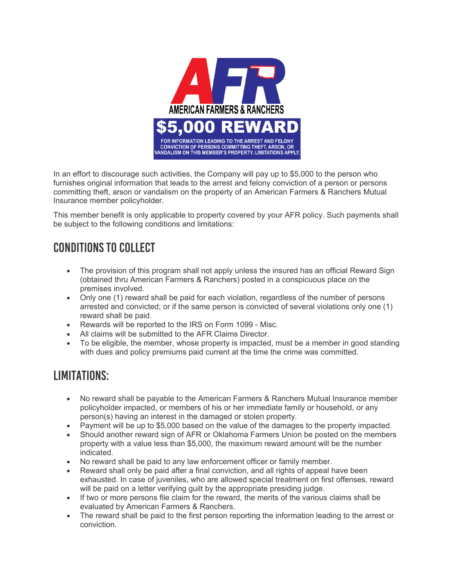

In an effort to discourage such activities, the Company will pay up to \$5,000 to the person who furnishes original information that leads to the arrest and felony conviction of a person or persons committing theft, arson or vandalism on the property of an American Farmers & Ranchers Mutual Insurance member policyholder.

This member benefit is only applicable to property covered by your AFR policy. Such payments shall be subject to the following conditions and limitations:

## CONDITIONS TO COLLECT

- The provision of this program shall not apply unless the insured has an official Reward Sign (obtained thru American Farmers & Ranchers) posted in a conspicuous place on the premises involved.
- Only one (1) reward shall be paid for each violation, regardless of the number of persons arrested and convicted; or if the same person is convicted of several violations only one (1) reward shall be paid.
- Rewards will be reported to the IRS on Form 1099 Misc.
- All claims will be submitted to the AFR Claims Director.
- To be eligible, the member, whose property is impacted, must be a member in good standing with dues and policy premiums paid current at the time the crime was committed.

## LIMITATIONS:

- No reward shall be payable to the American Farmers & Ranchers Mutual Insurance member policyholder impacted, or members of his or her immediate family or household, or any person(s) having an interest in the damaged or stolen property.
- Payment will be up to \$5,000 based on the value of the damages to the property impacted.
- Should another reward sign of AFR or Oklahoma Farmers Union be posted on the members property with a value less than \$5,000, the maximum reward amount will be the number indicated.
- No reward shall be paid to any law enforcement officer or family member.
- Reward shall only be paid after a final conviction, and all rights of appeal have been exhausted. In case of juveniles, who are allowed special treatment on first offenses, reward will be paid on a letter verifying guilt by the appropriate presiding judge.
- If two or more persons file claim for the reward, the merits of the various claims shall be evaluated by American Farmers & Ranchers.
- The reward shall be paid to the first person reporting the information leading to the arrest or conviction.